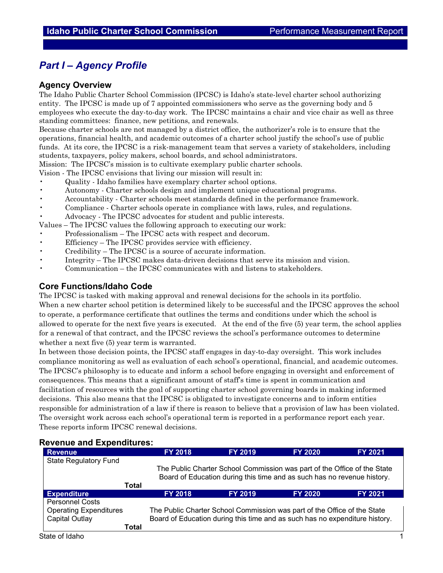## *Part I – Agency Profile*

#### **Agency Overview**

The Idaho Public Charter School Commission (IPCSC) is Idaho's state-level charter school authorizing entity. The IPCSC is made up of 7 appointed commissioners who serve as the governing body and 5 employees who execute the day-to-day work. The IPCSC maintains a chair and vice chair as well as three standing committees: finance, new petitions, and renewals.

Because charter schools are not managed by a district office, the authorizer's role is to ensure that the operations, financial health, and academic outcomes of a charter school justify the school's use of public funds. At its core, the IPCSC is a risk-management team that serves a variety of stakeholders, including students, taxpayers, policy makers, school boards, and school administrators.

Mission: The IPCSC's mission is to cultivate exemplary public charter schools.

Vision - The IPCSC envisions that living our mission will result in:

- Quality Idaho families have exemplary charter school options.
- Autonomy Charter schools design and implement unique educational programs.
- Accountability Charter schools meet standards defined in the performance framework.
- Compliance Charter schools operate in compliance with laws, rules, and regulations.
- Advocacy The IPCSC advocates for student and public interests.

Values – The IPCSC values the following approach to executing our work:

- Professionalism The IPCSC acts with respect and decorum.
- Efficiency The IPCSC provides service with efficiency.
- Credibility The IPCSC is a source of accurate information.
- Integrity The IPCSC makes data-driven decisions that serve its mission and vision.
- Communication the IPCSC communicates with and listens to stakeholders.

### **Core Functions/Idaho Code**

The IPCSC is tasked with making approval and renewal decisions for the schools in its portfolio.

When a new charter school petition is determined likely to be successful and the IPCSC approves the school to operate, a performance certificate that outlines the terms and conditions under which the school is allowed to operate for the next five years is executed. At the end of the five (5) year term, the school applies for a renewal of that contract, and the IPCSC reviews the school's performance outcomes to determine whether a next five (5) year term is warranted.

In between those decision points, the IPCSC staff engages in day-to-day oversight. This work includes compliance monitoring as well as evaluation of each school's operational, financial, and academic outcomes. The IPCSC's philosophy is to educate and inform a school before engaging in oversight and enforcement of consequences. This means that a significant amount of staff's time is spent in communication and facilitation of resources with the goal of supporting charter school governing boards in making informed decisions. This also means that the IPCSC is obligated to investigate concerns and to inform entities responsible for administration of a law if there is reason to believe that a provision of law has been violated. The oversight work across each school's operational term is reported in a performance report each year. These reports inform IPCSC renewal decisions.

#### **Revenue and Expenditures:**

| <b>Revenue</b>                | <b>FY 2018</b>                                                           | <b>FY 2019</b> | <b>FY 2020</b>                                                              | <b>FY 2021</b> |  |  |  |
|-------------------------------|--------------------------------------------------------------------------|----------------|-----------------------------------------------------------------------------|----------------|--|--|--|
| <b>State Regulatory Fund</b>  |                                                                          |                |                                                                             |                |  |  |  |
|                               | The Public Charter School Commission was part of the Office of the State |                |                                                                             |                |  |  |  |
|                               | Board of Education during this time and as such has no revenue history.  |                |                                                                             |                |  |  |  |
| <b>Total</b>                  |                                                                          |                |                                                                             |                |  |  |  |
| <b>Expenditure</b>            | <b>FY 2018</b>                                                           | <b>FY 2019</b> | <b>FY 2020</b>                                                              | <b>FY 2021</b> |  |  |  |
| <b>Personnel Costs</b>        |                                                                          |                |                                                                             |                |  |  |  |
| <b>Operating Expenditures</b> | The Public Charter School Commission was part of the Office of the State |                |                                                                             |                |  |  |  |
| Capital Outlay                |                                                                          |                | Board of Education during this time and as such has no expenditure history. |                |  |  |  |
| Total                         |                                                                          |                |                                                                             |                |  |  |  |
| State of Idaho                |                                                                          |                |                                                                             |                |  |  |  |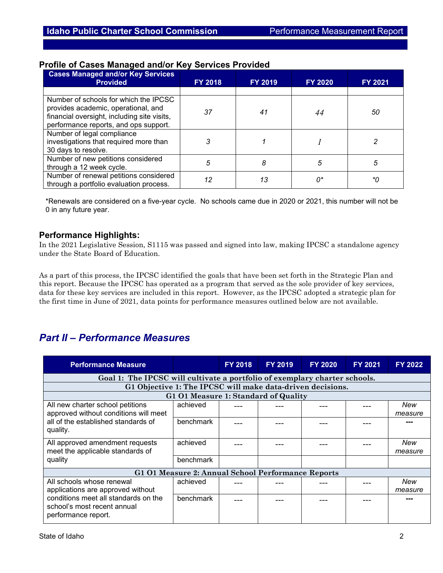| <b>Cases Managed and/or Key Services</b><br><b>Provided</b>                                                                                                          | FY 2018 | FY 2019 | <b>FY 2020</b> | FY 2021 |
|----------------------------------------------------------------------------------------------------------------------------------------------------------------------|---------|---------|----------------|---------|
|                                                                                                                                                                      |         |         |                |         |
| Number of schools for which the IPCSC<br>provides academic, operational, and<br>financial oversight, including site visits,<br>performance reports, and ops support. | 37      | 41      | 44             | 50      |
| Number of legal compliance<br>investigations that required more than<br>30 days to resolve.                                                                          | 3       |         |                |         |
| Number of new petitions considered<br>through a 12 week cycle.                                                                                                       | 5       | 8       | 5              | 5       |
| Number of renewal petitions considered<br>through a portfolio evaluation process.                                                                                    | 12      | 13      | 0*             | *Ω      |

## **Profile of Cases Managed and/or Key Services Provided**

\*Renewals are considered on a five-year cycle. No schools came due in 2020 or 2021, this number will not be 0 in any future year.

## **Performance Highlights:**

In the 2021 Legislative Session, S1115 was passed and signed into law, making IPCSC a standalone agency under the State Board of Education.

As a part of this process, the IPCSC identified the goals that have been set forth in the Strategic Plan and this report. Because the IPCSC has operated as a program that served as the sole provider of key services, data for these key services are included in this report. However, as the IPCSC adopted a strategic plan for the first time in June of 2021, data points for performance measures outlined below are not available.

# *Part II – Performance Measures*

| <b>Performance Measure</b>                                                                             |                                      | <b>FY 2018</b> | <b>FY 2019</b> | <b>FY 2020</b> | FY 2021 | <b>FY 2022</b> |  |
|--------------------------------------------------------------------------------------------------------|--------------------------------------|----------------|----------------|----------------|---------|----------------|--|
| Goal 1: The IPCSC will cultivate a portfolio of exemplary charter schools.                             |                                      |                |                |                |         |                |  |
| G1 Objective 1: The IPCSC will make data-driven decisions.                                             |                                      |                |                |                |         |                |  |
|                                                                                                        | G1 O1 Measure 1: Standard of Quality |                |                |                |         |                |  |
| All new charter school petitions                                                                       | achieved                             |                |                |                |         | New            |  |
| approved without conditions will meet                                                                  |                                      |                |                |                |         | measure        |  |
| all of the established standards of                                                                    | benchmark                            |                |                |                |         |                |  |
| quality.                                                                                               |                                      |                |                |                |         |                |  |
| All approved amendment requests                                                                        | achieved                             |                |                |                |         | New            |  |
| meet the applicable standards of<br>quality                                                            |                                      |                |                |                |         | measure        |  |
|                                                                                                        | benchmark                            |                |                |                |         |                |  |
| G1 01 Measure 2: Annual School Performance Reports                                                     |                                      |                |                |                |         |                |  |
| All schools whose renewal<br>applications are approved without<br>conditions meet all standards on the | achieved                             |                |                |                |         | New            |  |
|                                                                                                        |                                      |                |                |                |         | measure        |  |
|                                                                                                        | benchmark                            |                |                |                |         |                |  |
| school's most recent annual                                                                            |                                      |                |                |                |         |                |  |
| performance report.                                                                                    |                                      |                |                |                |         |                |  |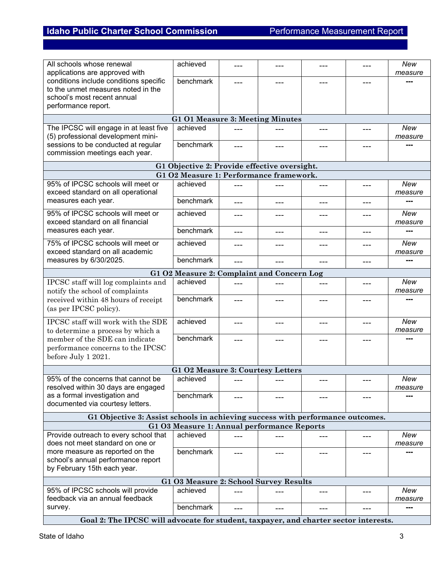| All schools whose renewal<br>applications are approved with                                                                                                           | achieved                                     | ---   | ---   | ---     | ---     | New<br>measure        |  |
|-----------------------------------------------------------------------------------------------------------------------------------------------------------------------|----------------------------------------------|-------|-------|---------|---------|-----------------------|--|
| conditions include conditions specific<br>to the unmet measures noted in the<br>school's most recent annual<br>performance report.                                    | benchmark                                    | ---   | ---   | $- - -$ | ---     | ---                   |  |
|                                                                                                                                                                       | G1 O1 Measure 3: Meeting Minutes             |       |       |         |         |                       |  |
| The IPCSC will engage in at least five<br>(5) professional development mini-                                                                                          | achieved                                     |       |       | ---     | ---     | New<br>measure        |  |
| sessions to be conducted at regular<br>commission meetings each year.                                                                                                 | benchmark                                    | ---   | ---   |         | ---     | ---                   |  |
|                                                                                                                                                                       | G1 Objective 2: Provide effective oversight. |       |       |         |         |                       |  |
|                                                                                                                                                                       | G1 O2 Measure 1: Performance framework.      |       |       |         |         |                       |  |
| 95% of IPCSC schools will meet or<br>exceed standard on all operational                                                                                               | achieved                                     |       |       |         | ---     | New<br>measure        |  |
| measures each year.                                                                                                                                                   | benchmark                                    | $---$ | $---$ | ---     | ---     | ---                   |  |
| 95% of IPCSC schools will meet or<br>exceed standard on all financial                                                                                                 | achieved                                     | $---$ | $---$ | ---     | $---$   | <b>New</b><br>measure |  |
| measures each year.                                                                                                                                                   | benchmark                                    | $---$ | $---$ | $---$   | $---$   | ---                   |  |
| 75% of IPCSC schools will meet or<br>exceed standard on all academic                                                                                                  | achieved                                     | ---   | $---$ | ---     | ---     | New<br>measure        |  |
| measures by 6/30/2025.                                                                                                                                                | benchmark                                    | $---$ | $---$ | $---$   | $---$   | ---                   |  |
|                                                                                                                                                                       | G1 O2 Measure 2: Complaint and Concern Log   |       |       |         |         |                       |  |
| IPCSC staff will log complaints and                                                                                                                                   | achieved                                     | ---   | $---$ | ---     | $---$   | New                   |  |
| notify the school of complaints                                                                                                                                       |                                              |       |       |         |         | measure               |  |
| received within 48 hours of receipt<br>(as per IPCSC policy).                                                                                                         | benchmark                                    | ---   | ---   | ---     | ---     | ---                   |  |
| IPCSC staff will work with the SDE<br>to determine a process by which a<br>member of the SDE can indicate<br>performance concerns to the IPCSC<br>before July 1 2021. | achieved                                     | ---   | $---$ | ---     | $---$   | New<br>measure        |  |
|                                                                                                                                                                       | benchmark                                    | ---   | $---$ | $---$   | $---$   | ---                   |  |
|                                                                                                                                                                       | G1 O2 Measure 3: Courtesy Letters            |       |       |         |         |                       |  |
| 95% of the concerns that cannot be                                                                                                                                    | achieved                                     |       |       |         |         | New                   |  |
| resolved within 30 days are engaged                                                                                                                                   |                                              |       |       |         |         | measure               |  |
| as a formal investigation and<br>documented via courtesy letters.                                                                                                     | benchmark                                    | ---   | ---   | ---     | ---     |                       |  |
| G1 Objective 3: Assist schools in achieving success with performance outcomes.                                                                                        |                                              |       |       |         |         |                       |  |
| G1 O3 Measure 1: Annual performance Reports                                                                                                                           |                                              |       |       |         |         |                       |  |
| Provide outreach to every school that<br>does not meet standard on one or                                                                                             | achieved                                     | ---   | ---   |         | ---     | New<br>measure        |  |
| more measure as reported on the<br>school's annual performance report<br>by February 15th each year.                                                                  | benchmark                                    | ---   | ---   | ---     | ---     | ---                   |  |
|                                                                                                                                                                       | G1 O3 Measure 2: School Survey Results       |       |       |         |         |                       |  |
| 95% of IPCSC schools will provide                                                                                                                                     | achieved                                     |       |       |         |         | New                   |  |
| feedback via an annual feedback                                                                                                                                       |                                              |       |       | ---     | ---     | measure               |  |
| survey.                                                                                                                                                               | benchmark                                    | ---   | $---$ | ---     | $- - -$ | ---                   |  |
| Goal 2: The IPCSC will advocate for student, taxpayer, and charter sector interests.                                                                                  |                                              |       |       |         |         |                       |  |